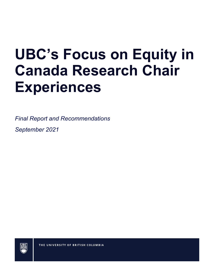# **UBC's Focus on Equity in Canada Research Chair Experiences**

*Final Report and Recommendations*

*September 2021*



THE UNIVERSITY OF BRITISH COLUMBIA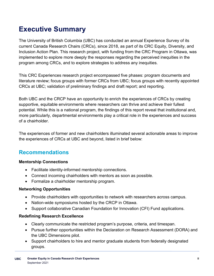# **Executive Summary**

The University of British Columbia (UBC) has conducted an annual Experience Survey of its current Canada Research Chairs (CRCs), since 2018, as part of its CRC Equity, Diversity, and Inclusion Action Plan. This research project, with funding from the CRC Program in Ottawa, was implemented to explore more deeply the responses regarding the perceived inequities in the program among CRCs, and to explore strategies to address any inequities.

This CRC Experiences research project encompassed five phases: program documents and literature review; focus groups with former CRCs from UBC; focus groups with recently appointed CRCs at UBC; validation of preliminary findings and draft report; and reporting.

Both UBC and the CRCP have an opportunity to enrich the experiences of CRCs by creating supportive, equitable environments where researchers can thrive and achieve their fullest potential. While this is a national program, the findings of this report reveal that institutional and, more particularly, departmental environments play a critical role in the experiences and success of a chairholder.

The experiences of former and new chairholders illuminated several actionable areas to improve the experiences of CRCs at UBC and beyond, listed in brief below:

#### **Recommendations**

#### **Mentorship Connections**

- Facilitate identity-informed mentorship connections.
- Connect incoming chairholders with mentors as soon as possible.
- Formalize a chairholder mentorship program.

#### **Networking Opportunities**

- Provide chairholders with opportunities to network with researchers across campus.
- Nation-wide symposiums hosted by the CRCP in Ottawa.
- Support collaborative Canadian Foundation for Innovation (CFI) Fund applications.

#### **Redefining Research Excellence**

- Clearly communicate the restricted program's purpose, criteria, and timespan.
- Pursue further opportunities within the Declaration on Research Assessment (DORA) and the UBC Dimensions pilot.
- Support chairholders to hire and mentor graduate students from federally designated groups.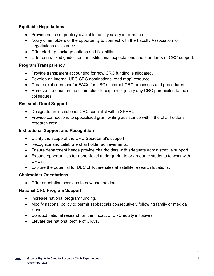#### **Equitable Negotiations**

- Provide notice of publicly available faculty salary information.
- Notify chairholders of the opportunity to connect with the Faculty Association for negotiations assistance.
- Offer start-up package options and flexibility.
- Offer centralized guidelines for institutional expectations and standards of CRC support.

#### **Program Transparency**

- Provide transparent accounting for how CRC funding is allocated.
- Develop an internal UBC CRC nominations 'road map' resource.
- Create explainers and/or FAQs for UBC's internal CRC processes and procedures.
- Remove the onus on the chairholder to explain or justify any CRC perquisites to their colleagues.

#### **Research Grant Support**

- Designate an institutional CRC specialist within SPARC.
- Provide connections to specialized grant writing assistance within the chairholder's research area.

#### **Institutional Support and Recognition**

- Clarify the scope of the CRC Secretariat's support.
- Recognize and celebrate chairholder achievements.
- Ensure department heads provide chairholders with adequate administrative support.
- Expand opportunities for upper-level undergraduate or graduate students to work with CRCs.
- Explore the potential for UBC childcare sites at satellite research locations.

#### **Chairholder Orientations**

• Offer orientation sessions to new chairholders.

#### **National CRC Program Support**

- Increase national program funding.
- Modify national policy to permit sabbaticals consecutively following family or medical leave.
- Conduct national research on the impact of CRC equity initiatives.
- Elevate the national profile of CRCs.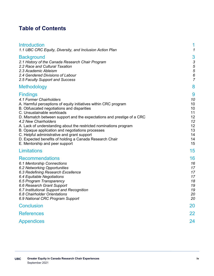## **Table of Contents**

| <b>Introduction</b><br>1.1 UBC CRC Equity, Diversity, and Inclusion Action Plan                                                                                                                                                                                                                                                                                                                                                                                                                                                                                  | 1<br>1                                                              |
|------------------------------------------------------------------------------------------------------------------------------------------------------------------------------------------------------------------------------------------------------------------------------------------------------------------------------------------------------------------------------------------------------------------------------------------------------------------------------------------------------------------------------------------------------------------|---------------------------------------------------------------------|
| <b>Background</b><br>2.1 History of the Canada Research Chair Program<br>2.2 Race and Cultural Taxation<br>2.3 Academic Ableism<br>2.4 Gendered Divisions of Labour<br>2.5 Faculty Support and Success                                                                                                                                                                                                                                                                                                                                                           | 3<br>3<br>5<br>5<br>6<br>$\overline{7}$                             |
| Methodology                                                                                                                                                                                                                                                                                                                                                                                                                                                                                                                                                      | 8                                                                   |
| <b>Findings</b><br>4.1 Former Chairholders<br>A. Harmful perceptions of equity initiatives within CRC program<br>B. Obfuscated negotiations and disparities<br>C. Unsustainable workloads<br>D. Mismatch between support and the expectations and prestige of a CRC<br>4.2 New Chairholders<br>A. Lack of understanding about the restricted nominations program<br>B. Opaque application and negotiations processes<br>C. Helpful administrative and grant support<br>D. Expected benefits of holding a Canada Research Chair<br>E. Mentorship and peer support | 9<br>10<br>10<br>10<br>11<br>12<br>12<br>12<br>13<br>14<br>14<br>15 |
| Limitations                                                                                                                                                                                                                                                                                                                                                                                                                                                                                                                                                      | 15                                                                  |
| <b>Recommendations</b><br>6.1 Mentorship Connections<br>6.2 Networking Opportunities<br>6.3 Redefining Research Excellence<br>6.4 Equitable Negotiations<br>6.5 Program Transparency<br>6.6 Research Grant Support<br>6.7 Institutional Support and Recognition<br>6.8 Chairholder Orientations<br>6.9 National CRC Program Support                                                                                                                                                                                                                              | 16<br>16<br>17<br>17<br>17<br>18<br>19<br>19<br>20<br>20            |
| <b>Conclusion</b>                                                                                                                                                                                                                                                                                                                                                                                                                                                                                                                                                | 20                                                                  |
| <b>References</b>                                                                                                                                                                                                                                                                                                                                                                                                                                                                                                                                                | 22                                                                  |
| <b>Appendices</b>                                                                                                                                                                                                                                                                                                                                                                                                                                                                                                                                                | 24                                                                  |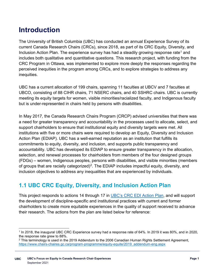# **Introduction**

The University of British Columbia (UBC) has conducted an annual Experience Survey of its current Canada Research Chairs (CRCs), since 2018, as part of its [CRC Equity, Diversity, and](https://academic.ubc.ca/awards-funding/funding-opportunities/canada-research-chairs/ubcs-commitment-equity-diversity)  Inclusion [Action Plan.](https://academic.ubc.ca/awards-funding/funding-opportunities/canada-research-chairs/ubcs-commitment-equity-diversity) The experience survey has had a steadily growing response rate<sup>[1](#page-4-0)</sup> and includes both qualitative and quantitative questions. This research project, with funding from the CRC Program in Ottawa, was implemented to explore more deeply the responses regarding the perceived inequities in the program among CRCs, and to explore strategies to address any inequities.

UBC has a current allocation of 199 chairs, spanning 11 faculties at UBCV and 7 faculties at UBCO, consisting of 88 CIHR chairs, 71 NSERC chairs, and 40 SSHRC chairs. UBC is currently meeting its equity targets for women, visible minorities/racialized faculty, and Indigenous faculty but is under-represented in chairs held by persons with disabilities.

In May 2017, the Canada Research Chairs Program (CRCP) advised universities that there was a need for greater transparency and accountability in the processes used to allocate, select, and support chairholders to ensure that institutional equity and diversity targets were met. All institutions with five or more chairs were required to develop an Equity, Diversity and Inclusion Action Plan (EDIAP). UBC has a well-earned reputation as an institution that fulfills its commitments to equity, diversity, and inclusion, and supports public transparency and accountability. UBC has developed its EDIAP to ensure greater transparency in the allocation, selection, and renewal processes for chairholders from members of the four designed groups (FDGs) – women, Indigenous peoples, persons with disabilities, and visible minorities (members of groups that are racially categorized)<sup>[2](#page-4-1)</sup>. The EDIAP includes impactful equity, diversity, and inclusion objectives to address any inequalities that are experienced by individuals.

## **1.1 UBC CRC Equity, Diversity, and Inclusion Action Plan**

This project responds to actions 14 through 17 in [UBC's CRC EDI Action Plan,](https://academic.ubc.ca/sites/vpa.ubc.ca/files/documents/EDIAP-2020-July-28-2020.pdf) and will support the development of discipline-specific and institutional practices with current and former chairholders to create more equitable experiences in the quality of support received to advance their research. The actions from the plan are listed below for reference:

<span id="page-4-0"></span> $\overline{a}$ <sup>1</sup> In 2018, the inaugural UBC CRC Experience survey had a response rate of 64%. In 2019 it was 80%, and in 2020, the response rate grew to 88%.

<span id="page-4-1"></span><sup>&</sup>lt;sup>2</sup> This terminology is used in the 2019 Addendum to the 2006 Canadian Human Rights Settlement Agreement, [https://www.chairs-chaires.gc.ca/program-programme/equity-equite/2019\\_addendum-eng.aspx](https://www.chairs-chaires.gc.ca/program-programme/equity-equite/2019_addendum-eng.aspx)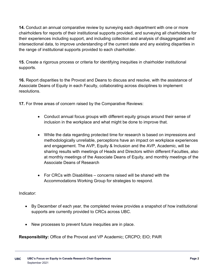**14.** Conduct an annual comparative review by surveying each department with one or more chairholders for reports of their institutional supports provided, and surveying all chairholders for their experiences including support, and including collection and analysis of disaggregated and intersectional data, to improve understanding of the current state and any existing disparities in the range of institutional supports provided to each chairholder.

**15.** Create a rigorous process or criteria for identifying inequities in chairholder institutional supports.

**16.** Report disparities to the Provost and Deans to discuss and resolve, with the assistance of Associate Deans of Equity in each Faculty, collaborating across disciplines to implement resolutions.

**17.** For three areas of concern raised by the Comparative Reviews:

- Conduct annual focus groups with different equity groups around their sense of inclusion in the workplace and what might be done to improve that.
- While the data regarding protected time for research is based on impressions and methodologically unreliable, perceptions have an impact on workplace experiences and engagement. The AVP, Equity & Inclusion and the AVP, Academic, will be sharing results with meetings of Heads and Directors within different Faculties, also at monthly meetings of the Associate Deans of Equity, and monthly meetings of the Associate Deans of Research
- For CRCs with Disabilities concerns raised will be shared with the Accommodations Working Group for strategies to respond.

Indicator:

- By December of each year, the completed review provides a snapshot of how institutional supports are currently provided to CRCs across UBC.
- New processes to prevent future inequities are in place.

**Responsibility:** Office of the Provost and VP Academic; CRCPO; EIO; PAIR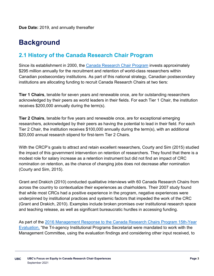# **Background**

#### **2.1 History of the Canada Research Chair Program**

Since its establishment in 2000, the [Canada Research Chair Program](https://www.chairs-chaires.gc.ca/program-programme/index-eng.aspx) invests approximately \$295 million annually for the recruitment and retention of world-class researchers within Canadian postsecondary institutions. As part of this national strategy, Canadian postsecondary institutions are allocating funding to recruit Canada Research Chairs at two tiers:

**Tier 1 Chairs**, tenable for seven years and renewable once, are for outstanding researchers acknowledged by their peers as world leaders in their fields. For each Tier 1 Chair, the institution receives \$200,000 annually during the term(s).

**Tier 2 Chairs**, tenable for five years and renewable once, are for exceptional emerging researchers, acknowledged by their peers as having the potential to lead in their field. For each Tier 2 Chair, the institution receives \$100,000 annually during the term(s), with an additional \$20,000 annual research stipend for first-term Tier 2 Chairs.

With the CRCP's goals to attract and retain excellent researchers, Courty and Sim (2015) studied the impact of this government intervention on retention of researchers. They found that there is a modest role for salary increase as a retention instrument but did not find an impact of CRC nomination on retention, as the chance of changing jobs does not decrease after nomination (Courty and Sim, 2015).

Grant and Drakich (2010) conducted qualitative interviews with 60 Canada Research Chairs from across the country to contextualize their experiences as chairholders. Their 2007 study found that while most CRCs had a positive experience in the program, negative experiences were underpinned by institutional practices and systemic factors that impeded the work of the CRC (Grant and Drakich, 2010). Examples include broken promises over institutional research space and teaching release, as well as significant bureaucratic hurdles in accessing funding.

As part of the [2016 Management Response to the Canada Research Chairs Program 15th-Year](https://www.chairs-chaires.gc.ca/about_us-a_notre_sujet/publications/evaluations/chairs_response-chaires_reponse-eng.aspx)  [Evaluation,](https://www.chairs-chaires.gc.ca/about_us-a_notre_sujet/publications/evaluations/chairs_response-chaires_reponse-eng.aspx) "the Tri-agency Institutional Programs Secretariat were mandated to work with the Management Committee, using the evaluation findings and considering other input received, to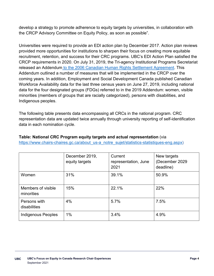develop a strategy to promote adherence to equity targets by universities, in collaboration with the CRCP Advisory Committee on Equity Policy, as soon as possible".

Universities were required to provide an EDI action plan by December 2017. Action plan reviews provided more opportunities for institutions to sharpen their focus on creating more equitable recruitment, retention, and success for their CRC programs. UBC's EDI Action Plan satisfied the CRCP requirements in 2020. On July 31, 2019, the Tri-agency Institutional Programs Secretariat released an Addendum [to the 2006 Canadian Human Rights Settlement Agreement.](https://www.chairs-chaires.gc.ca/program-programme/equity-equite/2019_addendum-eng.aspx) This Addendum outlined a number of measures that will be implemented in the CRCP over the coming years. In addition, Employment and Social Development Canada published Canadian Workforce Availability data for the last three census years on June 27, 2019, including national data for the four designated groups (FDGs) referred to in the 2019 Addendum: women, visible minorities (members of groups that are racially categorized), persons with disabilities, and Indigenous peoples.

The following table presents data encompassing all CRCs in the national program. CRC representation data are updated twice annually through university reporting of self-identification data in each nomination cycle.

## **Table: National CRC Program equity targets and actual representation** (via

[https://www.chairs-chaires.gc.ca/about\\_us-a\\_notre\\_sujet/statistics-statistiques-eng.aspx\)](https://www.chairs-chaires.gc.ca/about_us-a_notre_sujet/statistics-statistiques-eng.aspx)

|                                  | December 2019,<br>equity targets | Current<br>representation, June<br>2021 | New targets<br>(December 2029<br>deadline) |
|----------------------------------|----------------------------------|-----------------------------------------|--------------------------------------------|
| Women                            | 31%                              | 39.1%                                   | 50.9%                                      |
| Members of visible<br>minorities | 15%                              | 22.1%                                   | 22%                                        |
| Persons with<br>disabilities     | 4%                               | 5.7%                                    | 7.5%                                       |
| <b>Indigenous Peoples</b>        | $1\%$                            | 3.4%                                    | 4.9%                                       |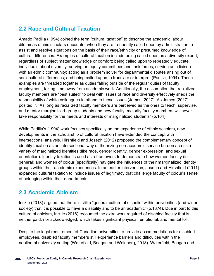#### **2.2 Race and Cultural Taxation**

Amado Padilla (1994) coined the term "cultural taxation" to describe the academic labour dilemmas ethnic scholars encounter when they are frequently called upon by administration to assist and resolve situations on the basis of their race/ethnicity or presumed knowledge of cultural differences. Examples of cultural taxation include being called upon as a diversity expert, regardless of subject matter knowledge or comfort; being called upon to repeatedly educate individuals about diversity; serving on equity committees and task forces; serving as a liaison with an ethnic community; acting as a problem solver for departmental disputes arising out of sociocultural differences; and being called upon to translate or interpret (Padilla, 1994). These examples are threaded together as duties falling outside of the regular duties of faculty employment, taking time away from academic work. Additionally, the assumption that racialized faculty members are "best suited" to deal with issues of race and diversity effectively sheds the responsibility of white colleagues to attend to these issues (James, 2017). As James (2017) posited: "...As long as racialized faculty members are perceived as the ones to teach, supervise, and mentor marginalized-group students and new faculty, majority faculty members will never take responsibility for the needs and interests of marginalized students" (p.164).

While Padilla's (1994) work focuses specifically on the experience of ethnic scholars, new developments in the scholarship of cultural taxation have extended the concept with intersectional analysis. Hirshfield and Joseph (2012) proposed the complementary concept of identity taxation as an intersectional way of theorizing non-academic service burden across a variety of marginalized identities (like race, gender identity, gender expression, and sexual orientation). Identity taxation is used as a framework to demonstrate how women faculty (in general) and women of colour (specifically) navigate the influences of their marginalized identity groups within their academic experiences. In an earlier intervention, Joseph and Hirshfield (2011) expanded cultural taxation to include issues of legitimacy that challenge faculty of colour's sense of belonging within their departments.

#### **2.3 Academic Ableism**

Inckle (2018) argued that there is still a "general culture of disbelief within universities (and wider society) that it is possible to have a disability and to be an academic" (p.1374). Due in part to this culture of ableism, Inckle (2018) recounted the extra work required of disabled faculty that is neither paid, nor acknowledged, which takes significant physical, emotional, and mental toll.

Despite the legal requirement of Canadian universities to provide accommodations for disabled employees, disabled faculty members still experience barriers and difficulties within the neoliberal university setting (Waterfield, Beagan and Weinberg, 2018). Waterfield, Beagan and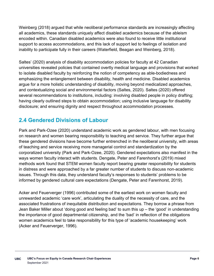Weinberg (2018) argued that while neoliberal performance standards are increasingly affecting all academics, these standards uniquely affect disabled academics because of the ableism encoded within. Canadian disabled academics were also found to receive little institutional support to access accommodations, and this lack of support led to feelings of isolation and inability to participate fully in their careers (Waterfield, Beagan and Weinberg, 2018).

Saltes' (2020) analysis of disability accommodation policies for faculty at 42 Canadian universities revealed policies that contained overtly medical language and provisions that worked to isolate disabled faculty by reinforcing the notion of competency as able-bodiedness and emphasizing the entanglement between disability, health and medicine. Disabled academics argue for a more holistic understanding of disability, moving beyond medicalized approaches, and contextualizing social and environmental factors (Saltes, 2020). Saltes (2020) offered several recommendations to institutions, including: involving disabled people in policy drafting; having clearly outlined steps to obtain accommodation; using inclusive language for disability disclosure; and ensuring dignity and respect throughout accommodation processes.

#### **2.4 Gendered Divisions of Labour**

Park and Park-Ozee (2020) understand academic work as gendered labour, with men focusing on research and women bearing responsibility to teaching and service. They further argue that these gendered divisions have become further entrenched in the neoliberal university, with areas of teaching and service receiving more managerial control and standardization by the corporatized university (Park and Park-Ozee, 2020). Gendered expectations also manifest in the ways women faculty interact with students. Dengate, Peter and Farenhorst's (2019) mixed methods work found that STEM women faculty report bearing greater responsibility for students in distress and were approached by a far greater number of students to discuss non-academic issues. Through this data, they understand faculty's responses to students' problems to be informed by gendered cultural care expectations (Dengate, Peter and Farenhorst, 2019).

Acker and Feuerverger (1996) contributed some of the earliest work on women faculty and unrewarded academic 'care work', articulating the duality of the necessity of care, and the associated frustrations of inequitable distribution and expectations. They borrow a phrase from Jean Baker Miller about 'doing good and feeling bad' to sum this up – the 'good' in understanding the importance of good departmental citizenship, and the 'bad' in reflection of the obligations women academics feel to take responsibility for this type of 'academic housekeeping' work (Acker and Feuerverger, 1996).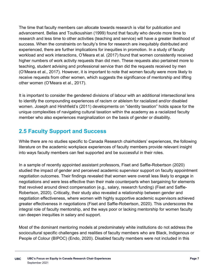The time that faculty members can allocate towards research is vital for publication and advancement. Bellas and Toutkoushian (1999) found that faculty who devote more time to research and less time to other activities (teaching and service) will have a greater likelihood of success. When the constraints on faculty's time for research are inequitably distributed and experienced, there are further implications for inequities in promotion. In a study of faculty workload and work interactions, O'Meara et al. (2017) found that women consistently received higher numbers of work activity requests than did men. These requests also pertained more to teaching, student advising and professional service than did the requests received by men (O'Meara et al., 2017). However, it is important to note that women faculty were more likely to receive requests from other women, which suggests the significance of mentorship and lifting other women (O'Meara et al., 2017).

It is important to consider the gendered divisions of labour with an additional intersectional lens to identify the compounding experiences of racism or ableism for racialized and/or disabled women. Joseph and Hirshfield's (2011) developments on "identity taxation" holds space for the unique complexities of navigating cultural taxation within the academy as a racialized faculty member who also experiences marginalization on the basis of gender or disability.

## **2.5 Faculty Support and Success**

While there are no studies specific to Canada Research chairholders' experiences, the following literature on the academic workplace experiences of faculty members provide relevant insight into ways faculty members can feel supported and be successful in their roles.

In a sample of recently appointed assistant professors, Fiset and Saffie-Robertson (2020) studied the impact of gender and perceived academic supervisor support on faculty appointment negotiation outcomes. Their findings revealed that women were overall less likely to engage in negotiations and were less effective than their male counterparts when bargaining for elements that revolved around direct compensation (e.g., salary, research funding) (Fiset and Saffie-Robertson, 2020). Critically, their study also revealed a relationship between gender and negotiation effectiveness, where women with highly supportive academic supervisors achieved greater effectiveness in negotiations (Fiset and Saffie-Robertson, 2020). This underscores the integral role of faculty mentorship, and the ways poor or lacking mentorship for women faculty can deepen inequities in salary and support.

Most of the dominant mentoring models at predominately white institutions do not address the sociocultural specific challenges and realities of faculty members who are Black, Indigenous or People of Colour (BIPOC) (Endo, 2020). Disabled faculty members were not included in this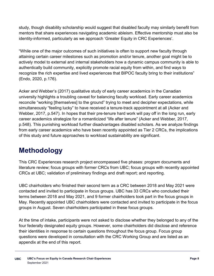study, though disability scholarship would suggest that disabled faculty may similarly benefit from mentors that share experiences navigating academic ableism. Effective mentorship must also be identity-informed, particularly as we approach 'Greater Equity in CRC Experiences'.

"While one of the major outcomes of such initiatives is often to support new faculty through attaining certain career milestones such as promotion and/or tenure, another goal might be to actively model to external and internal stakeholders how a dynamic campus community is able to authentically build community, explicitly promote racial equity from within, and find ways to recognize the rich expertise and lived experiences that BIPOC faculty bring to their institutions" (Endo, 2020, p.176).

Acker and Webber's (2017) qualitative study of early career academics in the Canadian university highlights a troubling caveat for balancing faculty workload. Early career academics reconcile "working [themselves] to the ground" trying to meet and decipher expectations, while simultaneously "feeling lucky" to have received a tenure-track appointment at all (Acker and Webber, 2017, p.547). In hopes that their pre-tenure hard work will pay off in the long run, early career academics strategize for a romanticized "life after tenure" (Acker and Webber, 2017, p.548). This punishing workload further disadvantages disabled scholars. As we analyze findings from early career academics who have been recently appointed as Tier 2 CRCs, the implications of this study and future approaches to workload sustainability are significant.

# **Methodology**

This CRC Experiences research project encompassed five phases: program documents and literature review; focus groups with former CRCs from UBC; focus groups with recently appointed CRCs at UBC; validation of preliminary findings and draft report; and reporting.

UBC chairholders who finished their second term as a CRC between 2018 and May 2021 were contacted and invited to participate in focus groups. UBC has 33 CRCs who concluded their terms between 2018 and May 2021, and 9 former chairholders took part in the focus groups in May. Recently appointed UBC chairholders were contacted and invited to participate in the focus groups in August. Seven chairholders participated in these focus groups.

At the time of intake, participants were not asked to disclose whether they belonged to any of the four federally designated equity groups. However, some chairholders did disclose and reference their identities in response to certain questions throughout the focus group. Focus group questions were developed in consultation with the CRC Working Group and are listed as an appendix at the end of this report.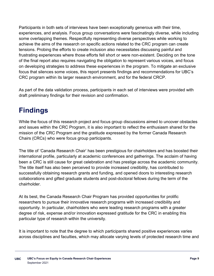Participants in both sets of interviews have been exceptionally generous with their time, experiences, and analysis. Focus group conversations were fascinatingly diverse, while including some overlapping themes. Respectfully representing diverse perspectives while working to achieve the aims of the research on specific actions related to the CRC program can create tensions. Probing the efforts to create inclusion also necessitates discussing painful and frustrating experiences where those efforts fell short or were non-existent. Deciding on the tone of the final report also requires navigating the obligation to represent various voices, and focus on developing strategies to address these experiences in the program. To mitigate an exclusive focus that silences some voices, this report presents findings and recommendations for UBC's CRC program within its larger research environment, and for the federal CRCP.

As part of the data validation process, participants in each set of interviews were provided with draft preliminary findings for their revision and confirmation.

# **Findings**

While the focus of this research project and focus group discussions aimed to uncover obstacles and issues within the CRC Program, it is also important to reflect the enthusiasm shared for the mission of the CRC Program and the gratitude expressed by the former Canada Research Chairs (CRCs) who were focus group participants.

The title of 'Canada Research Chair' has been prestigious for chairholders and has boosted their international profile, particularly at academic conferences and gatherings. The acclaim of having been a CRC is still cause for great celebration and has prestige across the academic community. The title itself has also been perceived to provide increased credibility, has contributed to successfully obtaining research grants and funding, and opened doors to interesting research collaborations and gifted graduate students and post-doctoral fellows during the term of the chairholder.

At its best, the Canada Research Chair Program has provided opportunities for prolific researchers to pursue their innovative research programs with increased credibility and opportunity. In particular, chairholders who were leading research programs with a greater degree of risk, expense and/or innovation expressed gratitude for the CRC in enabling this particular type of research within the university.

It is important to note that the degree to which participants shared positive experiences varies across disciplines and faculties, which may allocate varying levels of protected research time and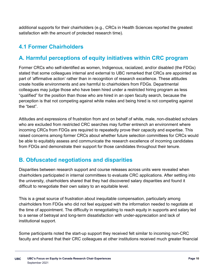additional supports for their chairholders (e.g., CRCs in Health Sciences reported the greatest satisfaction with the amount of protected research time).

## **4.1 Former Chairholders**

## **A. Harmful perceptions of equity initiatives within CRC program**

Former CRCs who self-identified as women, Indigenous, racialized, and/or disabled (the FDGs) stated that some colleagues internal and external to UBC remarked that CRCs are appointed as part of 'affirmative action' rather than in recognition of research excellence. These attitudes create hostile environments and are harmful to chairholders from FDGs. Departmental colleagues may judge those who have been hired under a restricted hiring program as less "qualified" for the position than those who are hired in an open faculty search, because the perception is that not competing against white males and being hired is not competing against the "best".

Attitudes and expressions of frustration from and on behalf of white, male, non-disabled scholars who are excluded from restricted CRC searches may further entrench an environment where incoming CRCs from FDGs are required to repeatedly prove their capacity and expertise. This raised concerns among former CRCs about whether future selection committees for CRCs would be able to equitably assess and communicate the research excellence of incoming candidates from FDGs and demonstrate their support for those candidates throughout their tenure.

#### **B. Obfuscated negotiations and disparities**

Disparities between research support and course releases across units were revealed when chairholders participated in internal committees to evaluate CRC applications. After settling into the university, chairholders shared that they had discovered salary disparities and found it difficult to renegotiate their own salary to an equitable level.

This is a great source of frustration about inequitable compensation, particularly among chairholders from FDGs who did not feel equipped with the information needed to negotiate at the time of appointment. The difficulty in renegotiating to reach equity in supports and salary led to a sense of betrayal and long-term dissatisfaction with under-appreciation and lack of institutional support.

Some participants noted the start-up support they received felt similar to incoming non-CRC faculty and shared that their CRC colleagues at other institutions received much greater financial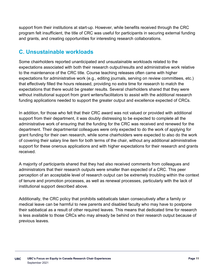support from their institutions at start-up. However, while benefits received through the CRC program felt insufficient, the title of CRC was useful for participants in securing external funding and grants, and creating opportunities for interesting research collaborations.

#### **C. Unsustainable workloads**

Some chairholders reported unanticipated and unsustainable workloads related to the expectations associated with both their research output/results and administrative work relative to the maintenance of the CRC title. Course teaching releases often came with higher expectations for administrative work (e.g., editing journals, serving on review committees, etc.) that effectively filled the hours released, providing no extra time for research to match the expectations that there would be greater results. Several chairholders shared that they were without institutional support from grant writers/facilitators to assist with the additional research funding applications needed to support the greater output and excellence expected of CRCs.

In addition, for those who felt that their CRC award was not valued or provided with additional support from their department, it was doubly distressing to be expected to complete all the administrative work of ensuring that the funding for the CRC was received and renewed for the department. Their departmental colleagues were only expected to do the work of applying for grant funding for their own research, while some chairholders were expected to also do the work of covering their salary line item for both terms of the chair, without any additional administrative support for these onerous applications and with higher expectations for their research and grants received.

A majority of participants shared that they had also received comments from colleagues and administrators that their research outputs were smaller than expected of a CRC. This peer perception of an acceptable level of research output can be extremely troubling within the context of tenure and promotion processes, as well as renewal processes, particularly with the lack of institutional support described above.

Additionally, the CRC policy that prohibits sabbaticals taken consecutively after a family or medical leave can be harmful to new parents and disabled faculty who may have to postpone their sabbatical as a result of other required leaves. This means that dedicated time for research is less available to those CRCs who may already be behind on their research output because of previous leaves.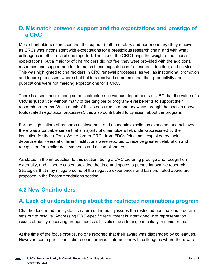#### **D. Mismatch between support and the expectations and prestige of a CRC**

Most chairholders expressed that the support (both monetary and non-monetary) they received as CRCs was inconsistent with expectations for a prestigious research chair, and with what colleagues in other institutions reported. The title of the CRC brings the weight of additional expectations, but a majority of chairholders did not feel they were provided with the additional resources and support needed to match these expectations for research, funding, and service. This was highlighted to chairholders in CRC renewal processes, as well as institutional promotion and tenure processes, where chairholders received comments that their productivity and publications were not meeting expectations for a CRC.

There is a sentiment among some chairholders in various departments at UBC that the value of a CRC is 'just a title' without many of the tangible or program-level benefits to support their research programs. While much of this is captured in monetary ways through the section above (obfuscated negotiation processes), this also contributed to cynicism about the program.

For the high calibre of research achievement and academic excellence expected, and achieved, there was a palpable sense that a majority of chairholders felt under-appreciated by the institution for their efforts. Some former CRCs from FDGs felt almost exploited by their departments. Peers at different institutions were reported to receive greater celebration and recognition for similar achievements and accomplishments.

As stated in the introduction to this section, being a CRC did bring prestige and recognition externally, and in some cases, provided the time and space to pursue innovative research. Strategies that may mitigate some of the negative experiences and barriers noted above are proposed in the Recommendations section.

#### **4.2 New Chairholders**

#### **A. Lack of understanding about the restricted nominations program**

Chairholders noted the systemic nature of the equity issues the restricted nominations program sets out to resolve. Addressing CRC-specific recruitment is intertwined with representation issues of equity-deserving groups across all levels of academia, particularly in senior roles.

At the time of the focus groups, no one reported that their award was disparaged by colleagues. However, some participants did recount previous interactions with colleagues where there was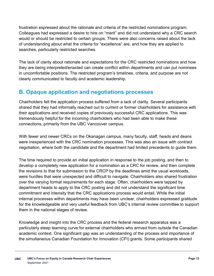frustration expressed about the rationale and criteria of the restricted nominations program. Colleagues had expressed a desire to hire on "merit" and did not understand why a CRC search would or should be restricted to certain groups. There were also concerns raised about the lack of understanding about what the criteria for "excellence" are, and how they are applied to searches, particularly restricted searches.

The lack of clarity about rationale and expectations for the CRC restricted nominations and how they are being interpreted/enacted can create conflict within departments and can put nominees in uncomfortable positions. The restricted program's timelines, criteria, and purpose are not clearly communicated to faculty and academic leadership.

## **B. Opaque application and negotiations processes**

Chairholders felt the application process suffered from a lack of clarity. Several participants shared that they had informally reached out to current or former chairholders for assistance with their applications and received copies of previously successful CRC applications. This was tremendously helpful for the incoming chairholders who had been able to make these connections, primarily from the UBC Vancouver campus.

With fewer and newer CRCs on the Okanagan campus, many faculty, staff, heads and deans were inexperienced with the CRC nomination processes. This was also an issue with contract negotiation, where both the candidate and the department had limited precedents to guide them.

The time required to provide an initial application in response to the job posting, and then to develop a completely new application for a nomination as a CRC for review, and then complete the revisions to that for submission to the CRCP by the deadlines amid the usual workloads, were hurdles that were unexpected and difficult to navigate. Chairholders also shared frustration over the varying format requirements for each stage. Often, chairholders were tapped by department heads to apply to the CRC posting and did not understand the significant time commitment and intensity that the CRC applications process would entail. While the initial internal processes within departments may have been unclear, chairholders expressed gratitude for the knowledgeable and very useful feedback from UBC's internal review committee to support them in the national stages of review.

Knowledge and insight into the CRC process and the federal research apparatus was a particularly steep learning curve for external chairholders who arrived from outside the Canadian academic context. One significant gap was an understanding of the process and importance of the simultaneous Canadian Foundation for Innovation (CFI) grants. Some participants shared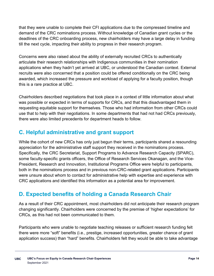that they were unable to complete their CFI applications due to the compressed timeline and demand of the CRC nominations process. Without knowledge of Canadian grant cycles or the deadlines of the CRC onboarding process, new chairholders may have a large delay in funding till the next cycle, impacting their ability to progress in their research program.

Concerns were also raised about the ability of externally recruited CRCs to authentically articulate their research relationships with Indigenous communities in their nomination applications when they hadn't yet arrived at UBC, or understood the Canadian context. External recruits were also concerned that a position could be offered conditionally on the CRC being awarded, which increased the pressure and workload of applying for a faculty position, though this is a rare practice at UBC.

Chairholders described negotiations that took place in a context of little information about what was possible or expected in terms of supports for CRCs, and that this disadvantaged them in requesting equitable support for themselves. Those who had information from other CRCs could use that to help with their negotiations. In some departments that had not had CRCs previously, there were also limited precedents for department heads to follow.

## **C. Helpful administrative and grant support**

While the cohort of new CRCs has only just begun their terms, participants shared a resounding appreciation for the administrative staff support they received in the nominations process. Specifically, the CRC Secretariat, Support Programs to Advance Research Capacity (SPARC), some faculty-specific grants officers, the Office of Research Services Okanagan, and the Vice-President, Research and Innovation, Institutional Programs Office were helpful to participants, both in the nominations process and in previous non-CRC-related grant applications. Participants were unsure about whom to contact for administrative help with expertise and experience with CRC applications and identified this information as a potential area for improvement.

## **D. Expected benefits of holding a Canada Research Chair**

As a result of their CRC appointment, most chairholders did not anticipate their research program changing significantly. Chairholders were concerned by the premise of 'higher expectations' for CRCs, as this had not been communicated to them.

Participants who were unable to negotiate teaching releases or sufficient research funding felt there were more "soft" benefits (i.e., prestige, increased opportunities, greater chance of grant application success) than "hard" benefits. Chairholders felt they would be able to take advantage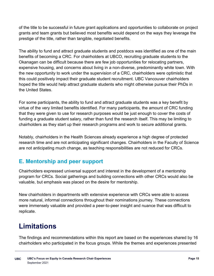of the title to be successful in future grant applications and opportunities to collaborate on project grants and team grants but believed most benefits would depend on the ways they leverage the prestige of the title, rather than tangible, negotiated benefits.

The ability to fund and attract graduate students and postdocs was identified as one of the main benefits of becoming a CRC. For chairholders at UBCO, recruiting graduate students to the Okanagan can be difficult because there are few job opportunities for relocating partners, expensive housing, and concerns about living in a non-diverse, predominantly white town. With the new opportunity to work under the supervision of a CRC, chairholders were optimistic that this could positively impact their graduate student recruitment. UBC Vancouver chairholders hoped the title would help attract graduate students who might otherwise pursue their PhDs in the United States.

For some participants, the ability to fund and attract graduate students was a key benefit by virtue of the very limited benefits identified. For many participants, the amount of CRC funding that they were given to use for research purposes would be just enough to cover the costs of funding a graduate student salary, rather than fund the research itself. This may be limiting to chairholders as they start up their research programs and work to secure additional grants.

Notably, chairholders in the Health Sciences already experience a high degree of protected research time and are not anticipating significant changes. Chairholders in the Faculty of Science are not anticipating much change, as teaching responsibilities are not reduced for CRCs.

## **E. Mentorship and peer support**

Chairholders expressed universal support and interest in the development of a mentorship program for CRCs. Social gatherings and building connections with other CRCs would also be valuable, but emphasis was placed on the desire for mentorship.

New chairholders in departments with extensive experience with CRCs were able to access more natural, informal connections throughout their nominations journey. These connections were immensely valuable and provided a peer-to-peer insight and nuance that was difficult to replicate.

# **Limitations**

The findings and recommendations within this report are based on the experiences shared by 16 chairholders who participated in the focus groups. While the themes and experiences presented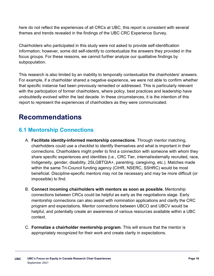here do not reflect the experiences of all CRCs at UBC, this report is consistent with several themes and trends revealed in the findings of the UBC CRC Experience Survey.

Chairholders who participated in this study were not asked to provide self-identification information; however, some did self-identify to contextualize the answers they provided in the focus groups. For these reasons, we cannot further analyze our qualitative findings by subpopulation.

This research is also limited by an inability to temporally contextualize the chairholders' answers. For example, if a chairholder shared a negative experience, we were not able to confirm whether that specific instance had been previously remedied or addressed. This is particularly relevant with the participation of former chairholders, where policy, best practices and leadership have undoubtedly evolved within the last decade. In these circumstances, it is the intention of this report to represent the experiences of chairholders as they were communicated.

## **Recommendations**

#### **6.1 Mentorship Connections**

- A. **Facilitate identity-informed mentorship connections**. Through mentor matching, chairholders could use a checklist to identify themselves and what is important in their connections. Chairholders might prefer to find a connection with someone with whom they share specific experiences and identities (i.e., CRC Tier, internal/externally recruited, race, Indigeneity, gender, disability, 2SLGBTQIA+, parenting, caregiving, etc.). Matches made within the same Tri-Council funding agency (CIHR, NSERC, SSHRC) would be most beneficial. Discipline-specific mentors may not be necessary and may be more difficult (or impossible) to find.
- B. **Connect incoming chairholders with mentors as soon as possible.** Mentorship connections between CRCs could be helpful as early as the negotiations stage. Early mentorship connections can also assist with nomination applications and clarify the CRC program and expectations. Mentor connections between UBCO and UBCV would be helpful, and potentially create an awareness of various resources available within a UBC context.
- C. **Formalize a chairholder mentorship program**. This will ensure that the mentor is appropriately recognized for their work and create clarity in expectations.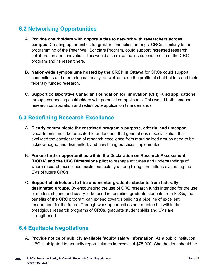#### **6.2 Networking Opportunities**

- A. **Provide chairholders with opportunities to network with researchers across campus.** Creating opportunities for greater connection amongst CRCs, similarly to the programming of the Peter Wall Scholars Program, could support increased research collaboration and innovation. This would also raise the institutional profile of the CRC program and its researchers.
- B. **Nation-wide symposiums hosted by the CRCP in Ottawa** for CRCs could support connections and mentoring nationally, as well as raise the profile of chairholders and their federally funded research.
- C. **Support collaborative Canadian Foundation for Innovation (CFI) Fund applications** through connecting chairholders with potential co-applicants. This would both increase research collaboration and redistribute application time demands.

#### **6.3 Redefining Research Excellence**

- A. **Clearly communicate the restricted program's purpose, criteria, and timespan**. Departments must be educated to understand that generations of socialization that excluded the consideration of research excellence from marginalized groups need to be acknowledged and dismantled, and new hiring practices implemented.
- B. **Pursue further opportunities within the Declaration on Research Assessment (DORA) and the UBC Dimensions pilot** to reshape attitudes and understandings of where research excellence exists, particularly among hiring committees evaluating the CVs of future CRCs.
- C. **Support chairholders to hire and mentor graduate students from federally designated groups**. By encouraging the use of CRC research funds intended for the use of student stipend and salary to be used in recruiting graduate students from FDGs, the benefits of the CRC program can extend towards building a pipeline of excellent researchers for the future. Through work opportunities and mentorship within the prestigious research programs of CRCs, graduate student skills and CVs are strengthened.

## **6.4 Equitable Negotiations**

A. **Provide notice of publicly available faculty salary information**. As a public institution, UBC is obligated to annually report salaries in excess of \$75,000. Chairholders should be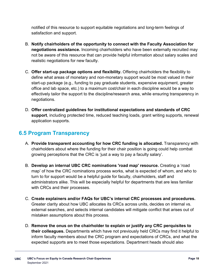notified of this resource to support equitable negotiations and long-term feelings of satisfaction and support.

- B. **Notify chairholders of the opportunity to connect with the Faculty Association for negotiations assistance.** Incoming chairholders who have been externally recruited may not be aware of this resource that can provide helpful information about salary scales and realistic negotiations for new faculty.
- C. **Offer start-up package options and flexibility.** Offering chairholders the flexibility to define what areas of monetary and non-monetary support would be most valued in their start-up package (e.g., funding to pay graduate students, expensive equipment, greater office and lab space, etc.) to a maximum cost/chair in each discipline would be a way to effectively tailor the support to the discipline/research area, while ensuring transparency in negotiations.
- D. **Offer centralized guidelines for institutional expectations and standards of CRC support**, including protected time, reduced teaching loads, grant writing supports, renewal application supports.

#### **6.5 Program Transparency**

- A. **Provide transparent accounting for how CRC funding is allocated.** Transparency with chairholders about where the funding for their chair position is going could help combat growing perceptions that the CRC is 'just a way to pay a faculty salary'.
- B. **Develop an internal UBC CRC nominations 'road map' resource.** Creating a 'road map' of how the CRC nominations process works, what is expected of whom, and who to turn to for support would be a helpful guide for faculty, chairholders, staff and administrators alike. This will be especially helpful for departments that are less familiar with CRCs and their processes.
- C. **Create explainers and/or FAQs for UBC's internal CRC processes and procedures.**  Greater clarity about how UBC allocates its CRCs across units, decides on internal vs. external searches, and selects internal candidates will mitigate conflict that arises out of mistaken assumptions about this process.
- D. **Remove the onus on the chairholder to explain or justify any CRC perquisites to their colleagues.** Departments which have not previously held CRCs may find it helpful to inform faculty members about the CRC program and expectations of CRCs, and what the expected supports are to meet those expectations. Department heads should also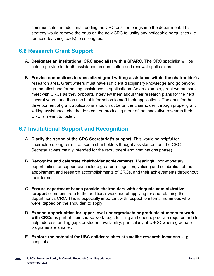communicate the additional funding the CRC position brings into the department. This strategy would remove the onus on the new CRC to justify any noticeable perquisites (i.e., reduced teaching loads) to colleagues.

#### **6.6 Research Grant Support**

- A. **Designate an institutional CRC specialist within SPARC.** The CRC specialist will be able to provide in-depth assistance on nomination and renewal applications.
- B. **Provide connections to specialized grant writing assistance within the chairholder's research area.** Grant writers must have sufficient disciplinary knowledge and go beyond grammatical and formatting assistance in applications. As an example, grant writers could meet with CRCs as they onboard, interview them about their research plans for the next several years, and then use that information to craft their applications. The onus for the development of grant applications should not be on the chairholder; through proper grant writing assistance, chairholders can be producing more of the innovative research their CRC is meant to foster.

#### **6.7 Institutional Support and Recognition**

- A. **Clarify the scope of the CRC Secretariat's support**. This would be helpful for chairholders long-term (i.e., some chairholders thought assistance from the CRC Secretariat was mainly intended for the recruitment and nominations phase).
- B. **Recognize and celebrate chairholder achievements.** Meaningful non-monetary opportunities for support can include greater recognition, valuing and celebration of the appointment and research accomplishments of CRCs, and their achievements throughout their terms.
- C. **Ensure department heads provide chairholders with adequate administrative support** commensurate to the additional workload of applying for and retaining the department's CRC. This is especially important with respect to internal nominees who were 'tapped on the shoulder' to apply.
- D. **Expand opportunities for upper-level undergraduate or graduate students to work with CRCs** as part of their course work (e.g., fulfilling an honours program requirement) to help address funding gaps or student availability, particularly at UBCO where graduate programs are smaller.
- E. **Explore the potential for UBC childcare sites at satellite research locations**, e.g., hospitals.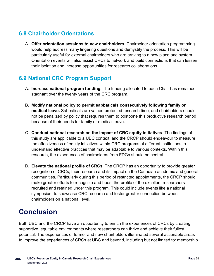## **6.8 Chairholder Orientations**

A. **Offer orientation sessions to new chairholders.** Chairholder orientation programming would help address many lingering questions and demystify the process. This will be particularly useful for external chairholders who are arriving to a new place and system. Orientation events will also assist CRCs to network and build connections that can lessen their isolation and increase opportunities for research collaborations.

#### **6.9 National CRC Program Support**

- A. **Increase national program funding.** The funding allocated to each Chair has remained stagnant over the twenty years of the CRC program.
- B. **Modify national policy to permit sabbaticals consecutively following family or medical leave.** Sabbaticals are valued protected research time, and chairholders should not be penalized by policy that requires them to postpone this productive research period because of their needs for family or medical leave.
- C. **Conduct national research on the impact of CRC equity initiatives**. The findings of this study are applicable to a UBC context, and the CRCP should endeavour to measure the effectiveness of equity initiatives within CRC programs at different institutions to understand effective practices that may be adaptable to various contexts. Within this research, the experiences of chairholders from FDGs should be central.
- D. **Elevate the national profile of CRCs**. The CRCP has an opportunity to provide greater recognition of CRCs, their research and its impact on the Canadian academic and general communities. Particularly during this period of restricted appointments, the CRCP should make greater efforts to recognize and boost the profile of the excellent researchers recruited and retained under this program. This could include events like a national symposium to showcase CRC research and foster greater connection between chairholders on a national level.

# **Conclusion**

Both UBC and the CRCP have an opportunity to enrich the experiences of CRCs by creating supportive, equitable environments where researchers can thrive and achieve their fullest potential. The experiences of former and new chairholders illuminated several actionable areas to improve the experiences of CRCs at UBC and beyond, including but not limited to: mentorship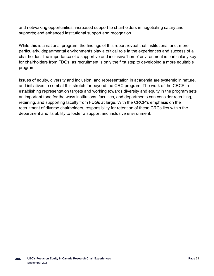and networking opportunities; increased support to chairholders in negotiating salary and supports; and enhanced institutional support and recognition.

While this is a national program, the findings of this report reveal that institutional and, more particularly, departmental environments play a critical role in the experiences and success of a chairholder. The importance of a supportive and inclusive 'home' environment is particularly key for chairholders from FDGs, as recruitment is only the first step to developing a more equitable program.

Issues of equity, diversity and inclusion, and representation in academia are systemic in nature, and initiatives to combat this stretch far beyond the CRC program. The work of the CRCP in establishing representation targets and working towards diversity and equity in the program sets an important tone for the ways institutions, faculties, and departments can consider recruiting, retaining, and supporting faculty from FDGs at large. With the CRCP's emphasis on the recruitment of diverse chairholders, responsibility for retention of these CRCs lies within the department and its ability to foster a support and inclusive environment.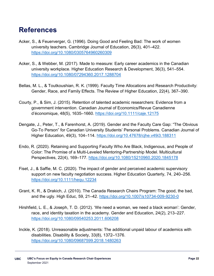## **References**

- Acker, S., & Feuerverger, G. (1996). Doing Good and Feeling Bad: The work of women university teachers. Cambridge Journal of Education, 26(3), 401–422. <https://doi.org/10.1080/0305764960260309>
- Acker, S., & Webber, M. (2017). Made to measure: Early career academics in the Canadian university workplace. Higher Education Research & Development, 36(3), 541–554. <https://doi.org/10.1080/07294360.2017.1288704>
- Bellas, M. L., & Toutkoushian, R. K. (1999). Faculty Time Allocations and Research Productivity: Gender, Race, and Family Effects. The Review of Higher Education, 22(4), 367–390.
- Courty, P., & Sim, J. (2015). Retention of talented academic researchers: Evidence from a government intervention. Canadian Journal of Economics/Revue Canadienne d'économique, 48(5), 1635–1660.<https://doi.org/10.1111/caje.12175>
- Dengate, J., Peter, T., & Farenhorst, A. (2019). Gender and the Faculty Care Gap: "The Obvious Go-To Person" for Canadian University Students' Personal Problems. Canadian Journal of Higher Education, 49(3), 104–114.<https://doi.org/10.47678/cjhe.v49i3.188311>
- Endo, R. (2020). Retaining and Supporting Faculty Who Are Black, Indigenous, and People of Color: The Promise of a Multi-Leveled Mentoring-Partnership Model. Multicultural Perspectives, 22(4), 169–177.<https://doi.org/10.1080/15210960.2020.1845178>
- Fiset, J., & Saffie, M. C. (2020). The impact of gender and perceived academic supervisory support on new faculty negotiation success. Higher Education Quarterly, 74, 240–256. <https://doi.org/10.1111/hequ.12234>
- Grant, K. R., & Drakich, J. (2010). The Canada Research Chairs Program: The good, the bad, and the ugly. High Educ, 59, 21–42.<https://doi.org/10.1007/s10734-009-9230-0>
- Hirshfield, L. E., & Joseph, T. D. (2012). 'We need a woman, we need a black woman': Gender, race, and identity taxation in the academy. Gender and Education, 24(2), 213–227. <https://doi.org/10.1080/09540253.2011.606208>
- Inckle, K. (2018). Unreasonable adjustments: The additional unpaid labour of academics with disabilities. Disability & Society, 33(8), 1372–1376. <https://doi.org/10.1080/09687599.2018.1480263>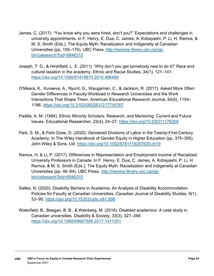- James, C. (2017). "You know why you were hired, don't you?" Expectations and challenges in university appointments. In F. Henry, E. Dua, C. James, A. Kobayashi, P. Li, H. Ramos, & M. S. Smith (Eds.), The Equity Myth: Racialization and Indigeneity at Canadian Universities (pp. 155–170). UBC Press. [http://resolve.library.ubc.ca/cgi](http://resolve.library.ubc.ca/cgi-bin/catsearch?bid=8846315)[bin/catsearch?bid=8846315](http://resolve.library.ubc.ca/cgi-bin/catsearch?bid=8846315)
- Joseph, T. D., & Hirshfield, L. E. (2011). 'Why don't you get somebody new to do it?' Race and cultural taxation in the academy. Ethnic and Racial Studies, 34(1), 121–141. <https://doi.org/10.1080/01419870.2010.496489>
- O'Meara, K., Kuvaeva, A., Nyunt, G., Waugaman, C., & Jackson, R. (2017). Asked More Often: Gender Differences in Faculty Workload in Research Universities and the Work Interactions That Shape Them. American Educational Research Journal, 54(6), 1154– 1186.<https://doi.org/10.3102/0002831217716767>
- Padilla, A. M. (1994). Ethnic Minority Scholars, Research, and Mentoring: Current and Future Issues. Educational Researcher, 23(4), 24–27.<https://doi.org/10.2307/1176259>
- Park, S. M., & Park‐Ozee, D. (2020). Gendered Divisions of Labor in the Twenty-First-Century Academy. In The Wiley Handbook of Gender Equity in Higher Education (pp. 375–395). John Wiley & Sons, Ltd.<https://doi.org/10.1002/9781119257639.ch19>
- Ramos, H. & Li, P. (2017). Differences in Representation and Employment Income of Racialized University Professors in Canada. In F. Henry, E. Dua, C. James, A. Kobayashi, P. Li, H. Ramos, & M. S. Smith (Eds.), The Equity Myth: Racialization and Indigeneity at Canadian Universities (pp. 46–64). UBC Press. [http://resolve.library.ubc.ca/cgi](http://resolve.library.ubc.ca/cgi-bin/catsearch?bid=8846315)[bin/catsearch?bid=8846315](http://resolve.library.ubc.ca/cgi-bin/catsearch?bid=8846315)
- Saltes, N. (2020). Disability Barriers in Academia: An Analysis of Disability Accommodation Policies for Faculty at Canadian Universities. Canadian Journal of Disability Studies, 9(1), 53–90.<https://doi.org/10.15353/cjds.v9i1.596>
- Waterfield, B., Beagan, B. B., & Weinberg, M. (2018). Disabled academics: A case study in Canadian universities. Disability & Society, 33(3), 327–348. <https://doi.org/10.1080/09687599.2017.1411251>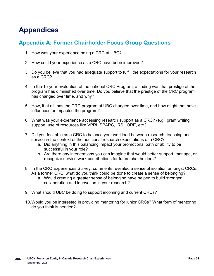# **Appendices**

#### **Appendix A: Former Chairholder Focus Group Questions**

- 1. How was your experience being a CRC at UBC?
- 2. How could your experience as a CRC have been improved?
- 3. Do you believe that you had adequate support to fulfill the expectations for your research as a CRC?
- 4. In the 15-year evaluation of the national CRC Program, a finding was that prestige of the program has diminished over time. Do you believe that the prestige of the CRC program has changed over time, and why?
- 5. How, if at all, has the CRC program at UBC changed over time, and how might that have influenced or impacted the program?
- 6. What was your experience accessing research support as a CRC? (e.g., grant writing support, use of resources like VPRI, SPARC, IRSI, ORE, etc.)
- 7. Did you feel able as a CRC to balance your workload between research, teaching and service in the context of the additional research expectations of a CRC?
	- a. Did anything in this balancing impact your promotional path or ability to be successful in your role?
	- b. Are there any interventions you can imagine that would better support, manage, or recognize service work contributions for future chairholders?
- 8. In the CRC Experiences Survey, comments revealed a sense of isolation amongst CRCs. As a former CRC, what do you think could be done to create a sense of belonging?
	- a. Would creating a greater sense of belonging have helped to build stronger collaboration and innovation in your research?
- 9. What should UBC be doing to support incoming and current CRCs?
- 10.Would you be interested in providing mentoring for junior CRCs? What form of mentoring do you think is needed?